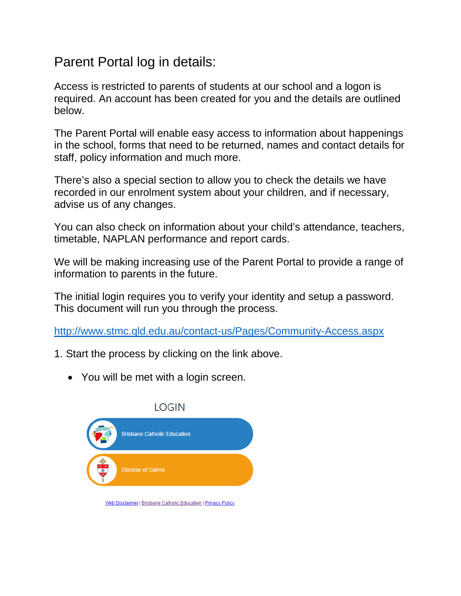## Parent Portal log in details:

Access is restricted to parents of students at our school and a logon is required. An account has been created for you and the details are outlined below.

The Parent Portal will enable easy access to information about happenings in the school, forms that need to be returned, names and contact details for staff, policy information and much more.

There's also a special section to allow you to check the details we have recorded in our enrolment system about your children, and if necessary, advise us of any changes.

You can also check on information about your child's attendance, teachers, timetable, NAPLAN performance and report cards.

We will be making increasing use of the Parent Portal to provide a range of information to parents in the future.

The initial login requires you to verify your identity and setup a password. This document will run you through the process.

<http://www.stmc.qld.edu.au/contact-us/Pages/Community-Access.aspx>

- 1. Start the process by clicking on the link above.
	- You will be met with a login screen.



Web Disclaimer | Brisbane Catholic Education | Privacy Policy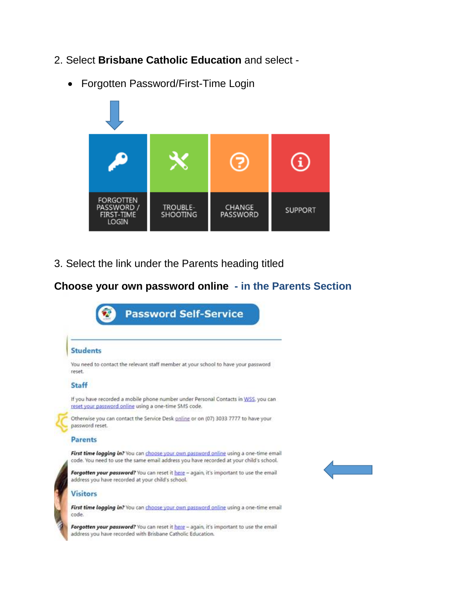- 2. Select **Brisbane Catholic Education** and select
	- Forgotten Password/First-Time Login



3. Select the link under the Parents heading titled

## **Choose your own password online - in the Parents Section**

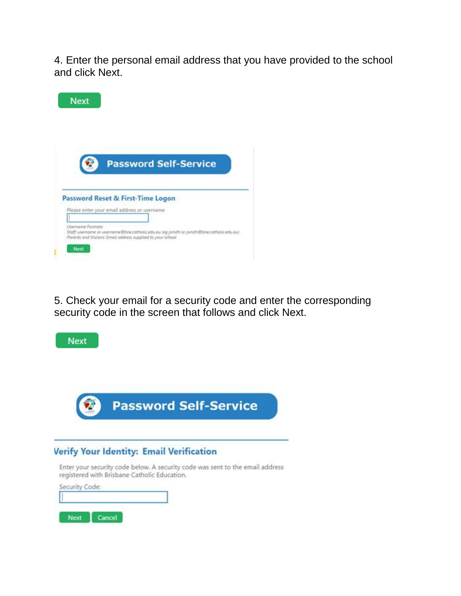4. Enter the personal email address that you have provided to the school and click Next.



5. Check your email for a security code and enter the corresponding security code in the screen that follows and click Next.



## **Verify Your Identity: Email Verification**

Enter your security code below. A security code was sent to the email address registered with Brisbane Catholic Education.

| Security Code: |  |
|----------------|--|
|                |  |
|                |  |